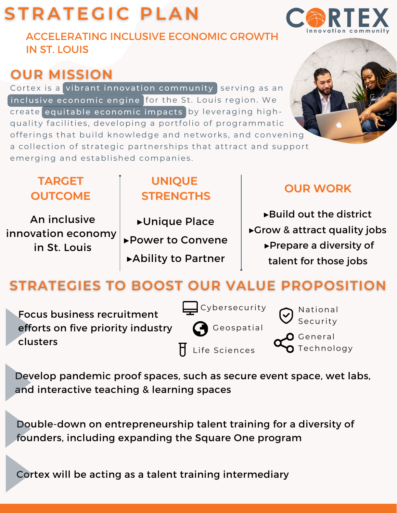# **STRATEGIC PLAN**

ACCELERATING INCLUSIVE ECONOMIC GROWTH IN ST. LOUIS

## **OUR MISSION**

Cortex is a vibrant innovation community serving as an inclusive economic engine |for the St. Louis region. We create equitable economic impacts by leveraging highquality facilities, developing a portfolio of programmatic offerings that build knowledge and networks, and convening a collection of strategic partnerships that attract and support emerging and established companies.

#### **TARGET OUTCOME**

An inclusive innovation economy in St. Louis

# ▸Unique Place **STRENGTHS**

**UNIQUE**

▸Power to Convene

▸Ability to Partner

#### **OUR WORK**

▸Build out the district ▸Grow & attract quality jobs ▸Prepare a diversity of talent for those jobs

## **STRATEGIES TO BOOST OUR VALUE PROPOSITION**

Focus business recruitment efforts on five priority industry clusters

 $\Box$  Cybersecurity Geospatial  $\overline{\mathsf{H}}$  Life Sciences

**National** Security  $\mathsf{\Omega}$  General Technology

Develop pandemic proof spaces, such as secure event space, wet labs, and interactive teaching & learning spaces

Double-down on entrepreneurship talent training for a diversity of founders, including expanding the Square One program

Cortex will be acting as a talent training intermediary